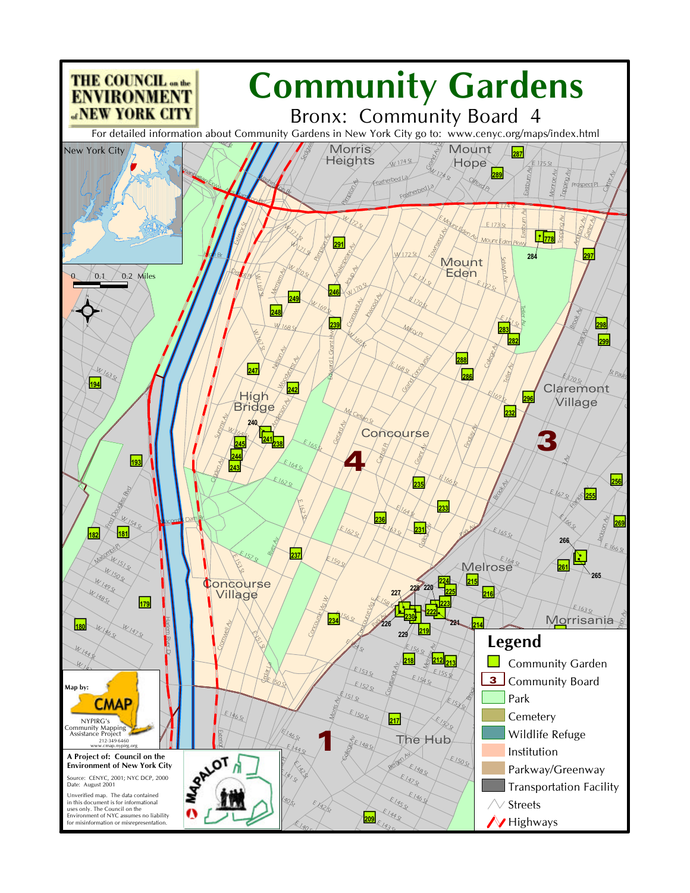